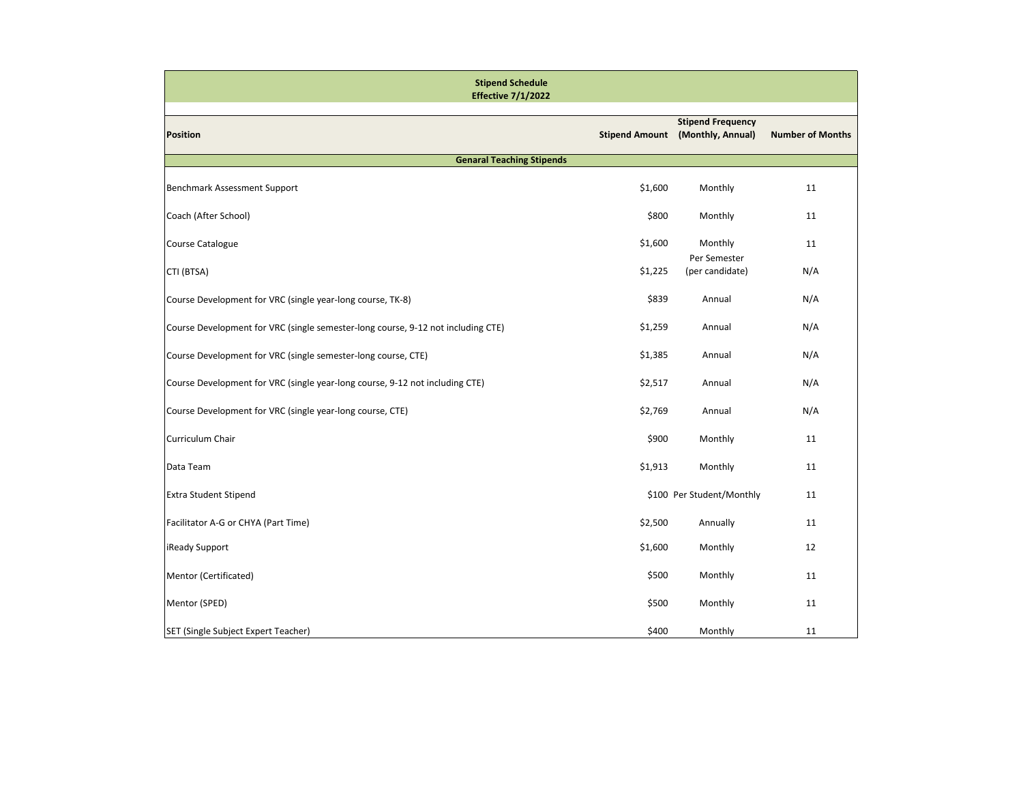| <b>Stipend Schedule</b><br><b>Effective 7/1/2022</b>                             |         |                                                              |                         |  |  |
|----------------------------------------------------------------------------------|---------|--------------------------------------------------------------|-------------------------|--|--|
| <b>Position</b>                                                                  |         | <b>Stipend Frequency</b><br>Stipend Amount (Monthly, Annual) | <b>Number of Months</b> |  |  |
| <b>Genaral Teaching Stipends</b>                                                 |         |                                                              |                         |  |  |
| Benchmark Assessment Support                                                     | \$1,600 | Monthly                                                      | 11                      |  |  |
| Coach (After School)                                                             | \$800   | Monthly                                                      | 11                      |  |  |
| Course Catalogue                                                                 | \$1,600 | Monthly<br>Per Semester                                      | 11                      |  |  |
| CTI (BTSA)                                                                       | \$1,225 | (per candidate)                                              | N/A                     |  |  |
| Course Development for VRC (single year-long course, TK-8)                       | \$839   | Annual                                                       | N/A                     |  |  |
| Course Development for VRC (single semester-long course, 9-12 not including CTE) | \$1,259 | Annual                                                       | N/A                     |  |  |
| Course Development for VRC (single semester-long course, CTE)                    | \$1,385 | Annual                                                       | N/A                     |  |  |
| Course Development for VRC (single year-long course, 9-12 not including CTE)     | \$2,517 | Annual                                                       | N/A                     |  |  |
| Course Development for VRC (single year-long course, CTE)                        | \$2,769 | Annual                                                       | N/A                     |  |  |
| Curriculum Chair                                                                 | \$900   | Monthly                                                      | 11                      |  |  |
| Data Team                                                                        | \$1,913 | Monthly                                                      | 11                      |  |  |
| <b>Extra Student Stipend</b>                                                     |         | \$100 Per Student/Monthly                                    | 11                      |  |  |
| Facilitator A-G or CHYA (Part Time)                                              | \$2,500 | Annually                                                     | 11                      |  |  |
| iReady Support                                                                   | \$1,600 | Monthly                                                      | 12                      |  |  |
| Mentor (Certificated)                                                            | \$500   | Monthly                                                      | 11                      |  |  |
| Mentor (SPED)                                                                    | \$500   | Monthly                                                      | 11                      |  |  |
| SET (Single Subject Expert Teacher)                                              | \$400   | Monthly                                                      | 11                      |  |  |